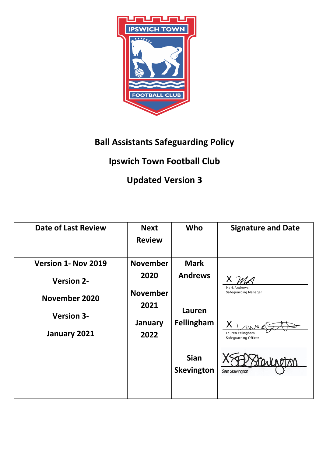

## **Ball Assistants Safeguarding Policy**

## **Ipswich Town Football Club**

## **Updated Version 3**

| <b>Date of Last Review</b>                         | <b>Next</b><br><b>Review</b>               | Who                              | <b>Signature and Date</b>                                                         |
|----------------------------------------------------|--------------------------------------------|----------------------------------|-----------------------------------------------------------------------------------|
| Version 1- Nov 2019                                | <b>November</b>                            | <b>Mark</b>                      |                                                                                   |
| <b>Version 2-</b>                                  | 2020                                       | <b>Andrews</b>                   | M A                                                                               |
| November 2020<br><b>Version 3-</b><br>January 2021 | <b>November</b><br>2021<br>January<br>2022 | Lauren<br><b>Fellingham</b>      | Mark Andrews<br>Safeguarding Manager<br>Lauren Fellingham<br>Safequarding Officer |
|                                                    |                                            | <b>Sian</b><br><b>Skevington</b> | Sian Skevington                                                                   |